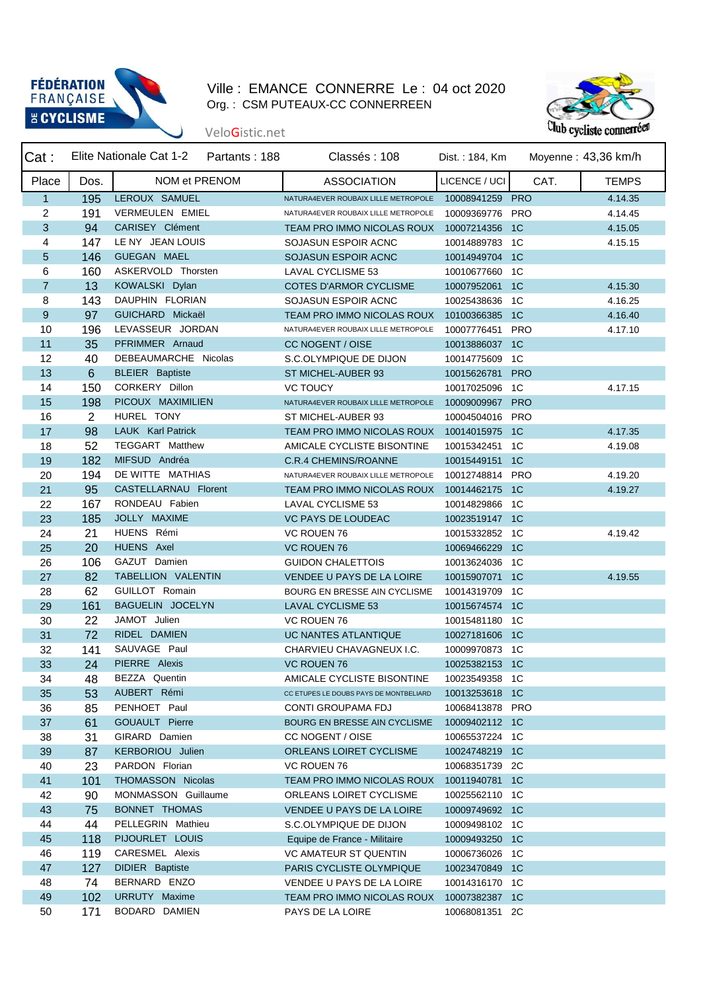

## Ville : EMANCE CONNERRE Le : 04 oct 2020 Org. : CSM PUTEAUX-CC CONNERREEN



## VeloGistic.net

| Cat:           |      | Elite Nationale Cat 1-2 Partants : 188 | Classés: 108                              | Dist.: 184, Km  |      | Moyenne: 43,36 km/h |
|----------------|------|----------------------------------------|-------------------------------------------|-----------------|------|---------------------|
| Place          | Dos. | NOM et PRENOM                          | <b>ASSOCIATION</b>                        | LICENCE / UCI   | CAT. | <b>TEMPS</b>        |
| $\mathbf{1}$   | 195  | LEROUX SAMUEL                          | NATURA4EVER ROUBAIX LILLE METROPOLE       | 10008941259 PRO |      | 4.14.35             |
| 2              | 191  | VERMEULEN EMIEL                        | NATURA4EVER ROUBAIX LILLE METROPOLE       | 10009369776 PRO |      | 4.14.45             |
| 3              | 94   | CARISEY Clément                        | TEAM PRO IMMO NICOLAS ROUX 10007214356 1C |                 |      | 4.15.05             |
| 4              | 147  | LE NY JEAN LOUIS                       | SOJASUN ESPOIR ACNC                       | 10014889783 1C  |      | 4.15.15             |
| 5              | 146  | GUEGAN MAEL                            | SOJASUN ESPOIR ACNC                       | 10014949704 1C  |      |                     |
| 6              | 160  | ASKERVOLD Thorsten                     | LAVAL CYCLISME 53                         | 10010677660 1C  |      |                     |
| $\overline{7}$ | 13   | KOWALSKI Dylan                         | <b>COTES D'ARMOR CYCLISME</b>             | 10007952061 1C  |      | 4.15.30             |
| 8              | 143  | DAUPHIN FLORIAN                        | SOJASUN ESPOIR ACNC                       | 10025438636 1C  |      | 4.16.25             |
| 9              | 97   | GUICHARD Mickaël                       | TEAM PRO IMMO NICOLAS ROUX                | 10100366385 1C  |      | 4.16.40             |
| 10             | 196  | LEVASSEUR JORDAN                       | NATURA4EVER ROUBAIX LILLE METROPOLE       | 10007776451 PRO |      | 4.17.10             |
| 11             | 35   | PFRIMMER Arnaud                        | CC NOGENT / OISE                          | 10013886037 1C  |      |                     |
| 12             | 40   | DEBEAUMARCHE Nicolas                   | S.C.OLYMPIQUE DE DIJON                    | 10014775609 1C  |      |                     |
| 13             | 6    | <b>BLEIER</b> Baptiste                 | ST MICHEL-AUBER 93                        | 10015626781 PRO |      |                     |
| 14             | 150  | CORKERY Dillon                         | <b>VC TOUCY</b>                           | 10017025096 1C  |      | 4.17.15             |
| 15             | 198  | PICOUX MAXIMILIEN                      | NATURA4EVER ROUBAIX LILLE METROPOLE       | 10009009967 PRO |      |                     |
| 16             | 2    | HUREL TONY                             | ST MICHEL-AUBER 93                        | 10004504016 PRO |      |                     |
| 17             | 98   | LAUK Karl Patrick                      | TEAM PRO IMMO NICOLAS ROUX                | 10014015975 1C  |      | 4.17.35             |
| 18             | 52   | TEGGART Matthew                        | AMICALE CYCLISTE BISONTINE                | 10015342451     | 1C   | 4.19.08             |
| 19             | 182  | MIFSUD Andréa                          | <b>C.R.4 CHEMINS/ROANNE</b>               | 10015449151 1C  |      |                     |
| 20             | 194  | DE WITTE MATHIAS                       | NATURA4EVER ROUBAIX LILLE METROPOLE       | 10012748814 PRO |      | 4.19.20             |
| 21             | 95   | CASTELLARNAU Florent                   | TEAM PRO IMMO NICOLAS ROUX 10014462175 1C |                 |      | 4.19.27             |
| 22             | 167  | RONDEAU Fabien                         | LAVAL CYCLISME 53                         | 10014829866 1C  |      |                     |
| 23             | 185  | JOLLY MAXIME                           | <b>VC PAYS DE LOUDEAC</b>                 | 10023519147 1C  |      |                     |
| 24             | 21   | HUENS Rémi                             | VC ROUEN 76                               | 10015332852 1C  |      | 4.19.42             |
| 25             | 20   | HUENS Axel                             | <b>VC ROUEN 76</b>                        | 10069466229 1C  |      |                     |
| 26             | 106  | GAZUT Damien                           | <b>GUIDON CHALETTOIS</b>                  | 10013624036 1C  |      |                     |
| 27             | 82   | TABELLION VALENTIN                     | VENDEE U PAYS DE LA LOIRE                 | 10015907071 1C  |      | 4.19.55             |
| 28             | 62   | GUILLOT Romain                         | BOURG EN BRESSE AIN CYCLISME              | 10014319709 1C  |      |                     |
| 29             | 161  | BAGUELIN JOCELYN                       | <b>LAVAL CYCLISME 53</b>                  | 10015674574 1C  |      |                     |
| 30             | 22   | JAMOT Julien                           | VC ROUEN 76                               | 10015481180 1C  |      |                     |
| 31             | 72   | RIDEL DAMIEN                           | UC NANTES ATLANTIQUE                      | 10027181606 1C  |      |                     |
| 32             | 141  | SAUVAGE Paul                           | CHARVIEU CHAVAGNEUX I.C.                  | 10009970873 1C  |      |                     |
| 33             | 24   | PIERRE Alexis                          | <b>VC ROUEN 76</b>                        | 10025382153 1C  |      |                     |
| 34             | 48   | BEZZA Quentin                          | AMICALE CYCLISTE BISONTINE                | 10023549358 1C  |      |                     |
| 35             | 53   | AUBERT Rémi                            | CC ETUPES LE DOUBS PAYS DE MONTBELIARD    | 10013253618 1C  |      |                     |
| 36             | 85   | PENHOET Paul                           | CONTI GROUPAMA FDJ                        | 10068413878 PRO |      |                     |
| 37             | 61   | GOUAULT Pierre                         | BOURG EN BRESSE AIN CYCLISME              | 10009402112 1C  |      |                     |
| 38             | 31   | GIRARD Damien                          | CC NOGENT / OISE                          | 10065537224 1C  |      |                     |
| 39             | 87   | KERBORIOU Julien                       | ORLEANS LOIRET CYCLISME                   | 10024748219 1C  |      |                     |
| 40             | 23   | PARDON Florian                         | VC ROUEN 76                               | 10068351739 2C  |      |                     |
| 41             | 101  | THOMASSON Nicolas                      | TEAM PRO IMMO NICOLAS ROUX 10011940781 1C |                 |      |                     |
| 42             | 90   | MONMASSON Guillaume                    | ORLEANS LOIRET CYCLISME                   | 10025562110 1C  |      |                     |
| 43             | 75   | BONNET THOMAS                          | VENDEE U PAYS DE LA LOIRE                 | 10009749692 1C  |      |                     |
| 44             | 44   | PELLEGRIN Mathieu                      | S.C.OLYMPIQUE DE DIJON                    | 10009498102 1C  |      |                     |
| 45             | 118  | PIJOURLET LOUIS                        | Equipe de France - Militaire              | 10009493250 1C  |      |                     |
| 46             | 119  | CARESMEL Alexis                        | <b>VC AMATEUR ST QUENTIN</b>              | 10006736026 1C  |      |                     |
| 47             | 127  | DIDIER Baptiste                        | PARIS CYCLISTE OLYMPIQUE                  | 10023470849 1C  |      |                     |
| 48             | 74   | BERNARD ENZO                           | VENDEE U PAYS DE LA LOIRE                 | 10014316170 1C  |      |                     |
| 49             | 102  | URRUTY Maxime                          | TEAM PRO IMMO NICOLAS ROUX                | 10007382387 1C  |      |                     |
| 50             | 171  | BODARD DAMIEN                          | PAYS DE LA LOIRE                          | 10068081351 2C  |      |                     |
|                |      |                                        |                                           |                 |      |                     |